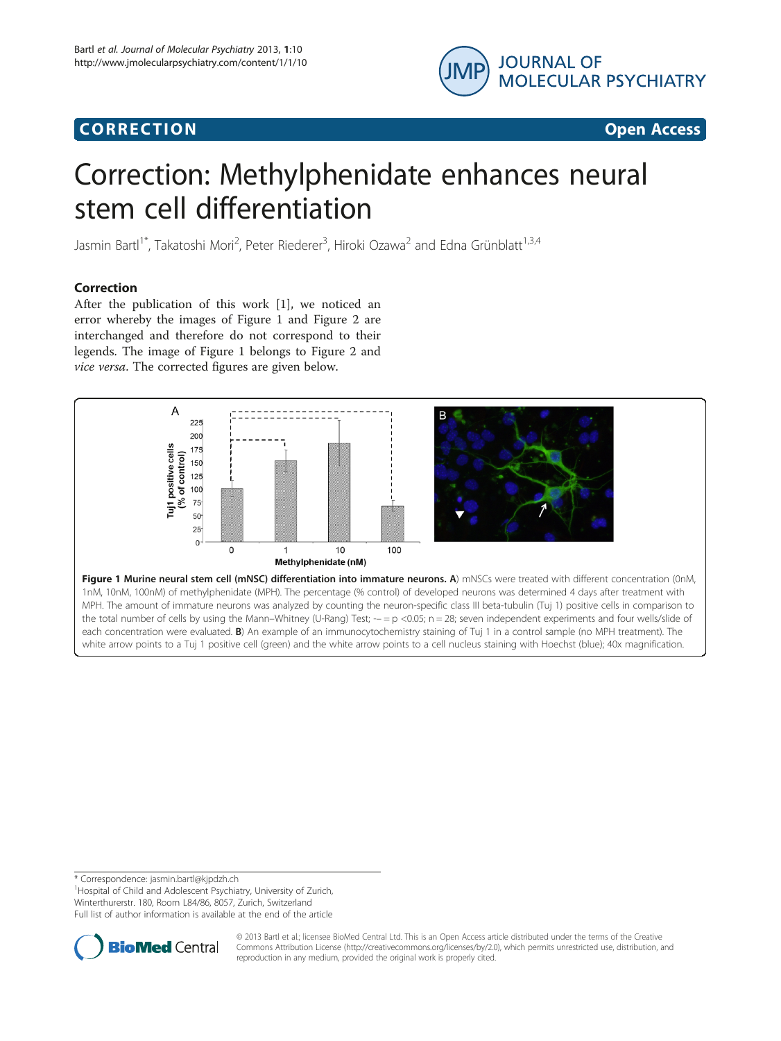# Corresponding to the corresponding to the corresponding to the corresponding to the corresponding to the corresponding to the corresponding to the corresponding to the corresponding to the corresponding to the correspondin



# Correction: Methylphenidate enhances neural stem cell differentiation

Jasmin Bartl<sup>1\*</sup>, Takatoshi Mori<sup>2</sup>, Peter Riederer<sup>3</sup>, Hiroki Ozawa<sup>2</sup> and Edna Grünblatt<sup>1,3,4</sup>

After the publication of this work [[1\]](#page-1-0), we noticed an error whereby the images of Figure 1 and Figure [2](#page-1-0) are interchanged and therefore do not correspond to their legends. The image of Figure 1 belongs to Figure [2](#page-1-0) and vice versa. The corrected figures are given below.



each concentration were evaluated. **B**) An example of an immunocytochemistry staining of Tuj 1 in a control sample (no MPH treatment). The white arrow points to a Tuj 1 positive cell (green) and the white arrow points to a cell nucleus staining with Hoechst (blue); 40x magnification.

\* Correspondence: [jasmin.bartl@kjpdzh.ch](mailto:jasmin.bartl@kjpdzh.ch) <sup>1</sup>

<sup>1</sup> Hospital of Child and Adolescent Psychiatry, University of Zurich, Winterthurerstr. 180, Room L84/86, 8057, Zurich, Switzerland

Full list of author information is available at the end of the article



© 2013 Bartl et al.; licensee BioMed Central Ltd. This is an Open Access article distributed under the terms of the Creative Commons Attribution License [\(http://creativecommons.org/licenses/by/2.0\)](http://creativecommons.org/licenses/by/2.0), which permits unrestricted use, distribution, and reproduction in any medium, provided the original work is properly cited.